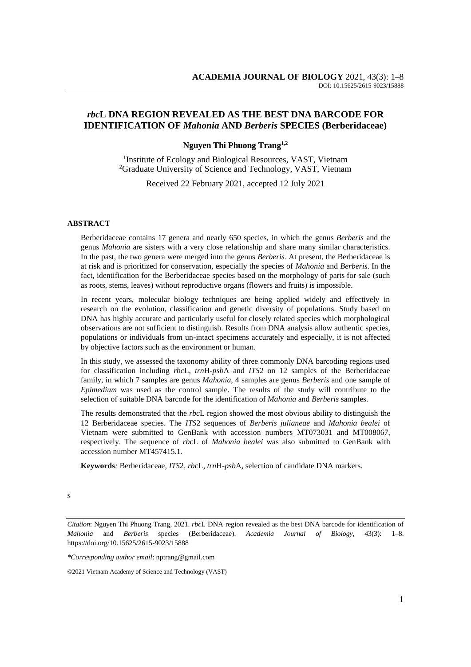# *rbc***L DNA REGION REVEALED AS THE BEST DNA BARCODE FOR IDENTIFICATION OF** *Mahonia* **AND** *Berberis* **SPECIES (Berberidaceae)**

## **Nguyen Thi Phuong Trang1,2**

<sup>1</sup>Institute of Ecology and Biological Resources, VAST, Vietnam <sup>2</sup>Graduate University of Science and Technology, VAST, Vietnam

Received 22 February 2021, accepted 12 July 2021

#### **ABSTRACT**

Berberidaceae contains 17 genera and nearly 650 species, in which the genus *Berberis* and the genus *Mahonia* are sisters with a very close relationship and share many similar characteristics. In the past, the two genera were merged into the genus *Berberis.* At present, the Berberidaceae is at risk and is prioritized for conservation, especially the species of *Mahonia* and *Berberis*. In the fact, identification for the Berberidaceae species based on the morphology of parts for sale (such as roots, stems, leaves) without reproductive organs (flowers and fruits) is impossible.

In recent years, molecular biology techniques are being applied widely and effectively in research on the evolution, classification and genetic diversity of populations. Study based on DNA has highly accurate and particularly useful for closely related species which morphological observations are not sufficient to distinguish. Results from DNA analysis allow authentic species, populations or individuals from un-intact specimens accurately and especially, it is not affected by objective factors such as the environment or human.

In this study, we assessed the taxonomy ability of three commonly DNA barcoding regions used for classification including *rbc*L, *trn*H-*psb*A and *ITS*2 on 12 samples of the Berberidaceae family, in which 7 samples are genus *Mahonia*, 4 samples are genus *Berberis* and one sample of *Epimedium* was used as the control sample. The results of the study will contribute to the selection of suitable DNA barcode for the identification of *Mahonia* and *Berberis* samples.

The results demonstrated that the *rbc*L region showed the most obvious ability to distinguish the 12 Berberidaceae species. The *ITS*2 sequences of *Berberis julianeae* and *Mahonia bealei* of Vietnam were submitted to GenBank with accession numbers MT073031 and MT008067, respectively. The sequence of *rbc*L of *Mahonia bealei* was also submitted to GenBank with accession number MT457415.1.

**Keywords***:* Berberidaceae*, ITS*2*, rbc*L*, trn*H*-psb*A*,* selection of candidate DNA markers.

*Citation*: Nguyen Thi Phuong Trang, 2021. *rbc*L DNA region revealed as the best DNA barcode for identification of *Mahonia* and *Berberis* species (Berberidaceae). *Academia Journal of Biology*, 43(3): 1–8. [https://doi.org/1](https://doi.org/)0.15625/2615-9023/15888

*\*Corresponding author email*: nptrang@gmail.com

<sup>©2021</sup> Vietnam Academy of Science and Technology (VAST)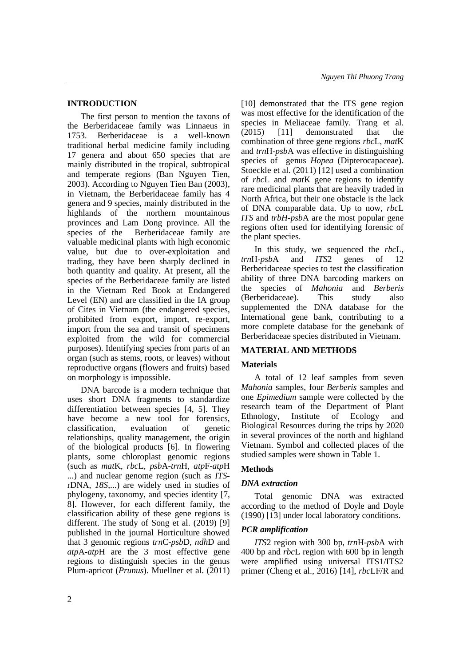## **INTRODUCTION**

The first person to mention the taxons of the Berberidaceae family was Linnaeus in 1753. Berberidaceae is a well-known traditional herbal medicine family including 17 genera and about 650 species that are mainly distributed in the tropical, subtropical and temperate regions (Ban Nguyen Tien, 2003). According to Nguyen Tien Ban (2003), in Vietnam, the Berberidaceae family has 4 genera and 9 species, mainly distributed in the highlands of the northern mountainous provinces and Lam Dong province. All the species of the Berberidaceae family are valuable medicinal plants with high economic value, but due to over-exploitation and trading, they have been sharply declined in both quantity and quality. At present, all the species of the Berberidaceae family are listed in the Vietnam Red Book at Endangered Level (EN) and are classified in the IA group of Cites in Vietnam (the endangered species, prohibited from export, import, re-export, import from the sea and transit of specimens exploited from the wild for commercial purposes). Identifying species from parts of an organ (such as stems, roots, or leaves) without reproductive organs (flowers and fruits) based on morphology is impossible.

DNA barcode is a modern technique that uses short DNA fragments to standardize differentiation between species [4, 5]. They have become a new tool for forensics, classification, evaluation of genetic relationships, quality management, the origin of the biological products [6]. In flowering plants, some chloroplast genomic regions (such as *mat*K, *rbc*L, *psb*A-*trn*H, *atp*F-*atp*H ...) and nuclear genome region (such as *ITS*rDNA, *18S*,...) are widely used in studies of phylogeny, taxonomy, and species identity [7, 8]. However, for each different family, the classification ability of these gene regions is different. The study of Song et al. (2019) [9] published in the journal Horticulture showed that 3 genomic regions *trn*C-*psb*D, *ndh*D and *atp*A-*atp*H are the 3 most effective gene regions to distinguish species in the genus Plum-apricot (*Prunus*). Muellner et al. (2011) [10] demonstrated that the ITS gene region was most effective for the identification of the species in Meliaceae family. Trang et al. (2015) [11] demonstrated that the combination of three gene regions *rbc*L, *mat*K and *trn*H-*psb*A was effective in distinguishing species of genus *Hopea* (Dipterocapaceae). Stoeckle et al. (2011) [12] used a combination of *rbc*L and *mat*K gene regions to identify rare medicinal plants that are heavily traded in North Africa, but their one obstacle is the lack of DNA comparable data. Up to now, *rbc*L *ITS* and *trbH-psb*A are the most popular gene regions often used for identifying forensic of the plant species.

In this study, we sequenced the *rbc*L, *trn*H-*psb*A and *ITS*2 genes of 12 Berberidaceae species to test the classification ability of three DNA barcoding markers on the species of *Mahonia* and *Berberis*  (Berberidaceae). This study also supplemented the DNA database for the International gene bank, contributing to a more complete database for the genebank of Berberidaceae species distributed in Vietnam.

### **MATERIAL AND METHODS**

## **Materials**

A total of 12 leaf samples from seven *Mahonia* samples, four *Berberis* samples and one *Epimedium* sample were collected by the research team of the Department of Plant Ethnology, Institute of Ecology and Biological Resources during the trips by 2020 in several provinces of the north and highland Vietnam. Symbol and collected places of the studied samples were shown in Table 1.

### **Methods**

### *DNA extraction*

Total genomic DNA was extracted according to the method of Doyle and Doyle (1990) [13] under local laboratory conditions.

### *PCR amplification*

*ITS*2 region with 300 bp, *trn*H-*psb*A with 400 bp and *rbc*L region with 600 bp in length were amplified using universal ITS1/ITS2 primer (Cheng et al., 2016) [14], *rbc*LF/R and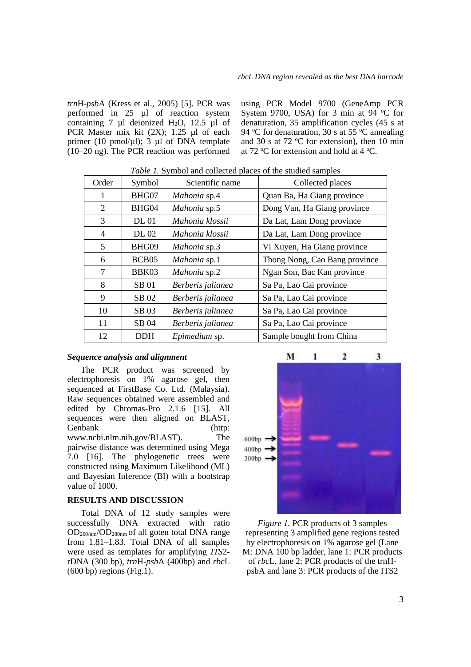*trn*H-*psb*A (Kress et al., 2005) [5]. PCR was performed in 25 µl of reaction system containing 7  $\mu$ l deionized H<sub>2</sub>O, 12.5  $\mu$ l of PCR Master mix kit (2X); 1.25 µl of each primer (10 pmol/ $\mu$ l); 3  $\mu$ l of DNA template (10–20 ng). The PCR reaction was performed using PCR Model 9700 (GeneAmp PCR System 9700, USA) for 3 min at 94  $^{\circ}$ C for denaturation, 35 amplification cycles (45 s at 94 °C for denaturation, 30 s at 55 °C annealing and 30 s at 72  $\degree$ C for extension), then 10 min at 72  $\rm{°C}$  for extension and hold at 4  $\rm{°C}$ .

| Order          | Symbol            | Scientific name   | Collected places              |
|----------------|-------------------|-------------------|-------------------------------|
| 1              | BHG07             | Mahonia sp.4      | Quan Ba, Ha Giang province    |
| 2              | BHG04             | Mahonia sp.5      | Dong Van, Ha Giang province   |
| 3              | <b>DL</b> 01      | Mahonia klossii   | Da Lat, Lam Dong province     |
| $\overline{4}$ | DL 02             | Mahonia klossii   | Da Lat, Lam Dong province     |
| $\mathfrak{S}$ | BHG09             | Mahonia sp.3      | Vi Xuyen, Ha Giang province   |
| 6              | BCB <sub>05</sub> | Mahonia sp.1      | Thong Nong, Cao Bang province |
| 7              | BBK03             | Mahonia sp.2      | Ngan Son, Bac Kan province    |
| 8              | SB 01             | Berberis julianea | Sa Pa, Lao Cai province       |
| 9              | SB 02             | Berberis julianea | Sa Pa, Lao Cai province       |
| 10             | SB 03             | Berberis julianea | Sa Pa, Lao Cai province       |
| 11             | SB 04             | Berberis julianea | Sa Pa, Lao Cai province       |
| 12             | <b>DDH</b>        | Epimedium sp.     | Sample bought from China      |

#### *Sequence analysis and alignment*

The PCR product was screened by electrophoresis on 1% agarose gel, then sequenced at FirstBase Co. Ltd. (Malaysia). Raw sequences obtained were assembled and edited by Chromas-Pro 2.1.6 [15]. All sequences were then aligned on BLAST, Genbank (http: www.ncbi.nlm.nih.gov/BLAST). The pairwise distance was determined using Mega 7.0 [16]. The phylogenetic trees were constructed using Maximum Likelihood (ML) and Bayesian Inference (BI) with a bootstrap value of 1000.

### **RESULTS AND DISCUSSION**

Total DNA of 12 study samples were successfully DNA extracted with ratio OD260/nm/OD280nm of all goten total DNA range from 1.81–1.83. Total DNA of all samples were used as templates for amplifying *ITS*2 rDNA (300 bp), *trn*H-*psb*A (400bp) and *rbc*L  $(600 \text{ bp})$  regions (Fig.1).



*Figure 1.* PCR products of 3 samples representing 3 amplified gene regions tested by electrophoresis on 1% agarose gel (Lane M: DNA 100 bp ladder, lane 1: PCR products of *rbc*L, lane 2: PCR products of the trnHpsbA and lane 3: PCR products of the ITS2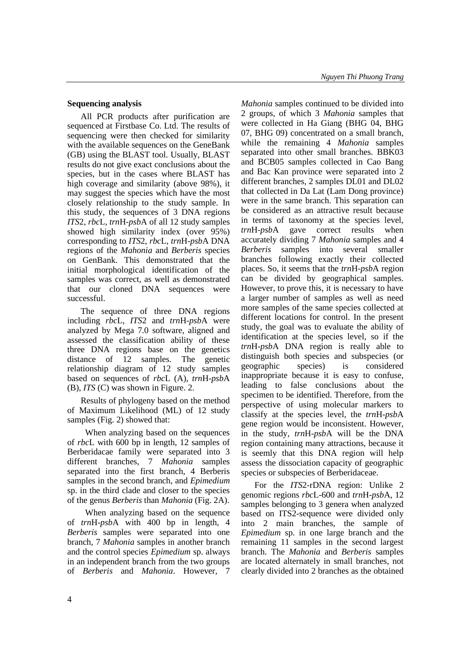### **Sequencing analysis**

All PCR products after purification are sequenced at Firstbase Co. Ltd. The results of sequencing were then checked for similarity with the available sequences on the GeneBank (GB) using the BLAST tool. Usually, BLAST results do not give exact conclusions about the species, but in the cases where BLAST has high coverage and similarity (above 98%), it may suggest the species which have the most closely relationship to the study sample. In this study, the sequences of 3 DNA regions *ITS*2, *rbc*L, *trn*H-*psb*A of all 12 study samples showed high similarity index (over 95%) corresponding to *ITS*2, *rbc*L, *trn*H-*psb*A DNA regions of the *Mahonia* and *Berberis* species on GenBank. This demonstrated that the initial morphological identification of the samples was correct, as well as demonstrated that our cloned DNA sequences were successful.

The sequence of three DNA regions including *rbc*L, *ITS*2 and *trn*H-*psb*A were analyzed by Mega 7.0 software, aligned and assessed the classification ability of these three DNA regions base on the genetics distance of 12 samples. The genetic relationship diagram of 12 study samples based on sequences of *rbc*L (A), *trn*H-*psb*A (B), *ITS* (C) was shown in Figure. 2.

Results of phylogeny based on the method of Maximum Likelihood (ML) of 12 study samples (Fig. 2) showed that:

When analyzing based on the sequences of *rbc*L with 600 bp in length, 12 samples of Berberidacae family were separated into 3 different branches, 7 *Mahonia* samples separated into the first branch, 4 Berberis samples in the second branch, and *Epimedium* sp. in the third clade and closer to the species of the genus *Berberis* than *Mahonia* (Fig. 2A).

When analyzing based on the sequence of *trn*H-*psb*A with 400 bp in length, 4 *Berberis* samples were separated into one branch, 7 *Mahonia* samples in another branch and the control species *Epimedium* sp. always in an independent branch from the two groups of *Berberis* and *Mahonia*. However, 7 *Mahonia* samples continued to be divided into 2 groups, of which 3 *Mahonia* samples that were collected in Ha Giang (BHG 04, BHG 07, BHG 09) concentrated on a small branch, while the remaining 4 *Mahonia* samples separated into other small branches. BBK03 and BCB05 samples collected in Cao Bang and Bac Kan province were separated into 2 different branches, 2 samples DL01 and DL02 that collected in Da Lat (Lam Dong province) were in the same branch. This separation can be considered as an attractive result because in terms of taxonomy at the species level, *trn*H-*psb*A gave correct results when accurately dividing 7 *Mahonia* samples and 4 *Berberis* samples into several smaller branches following exactly their collected places. So, it seems that the *trn*H-*psb*A region can be divided by geographical samples. However, to prove this, it is necessary to have a larger number of samples as well as need more samples of the same species collected at different locations for control. In the present study, the goal was to evaluate the ability of identification at the species level, so if the *trn*H-*psb*A DNA region is really able to distinguish both species and subspecies (or geographic species) is considered inappropriate because it is easy to confuse, leading to false conclusions about the specimen to be identified. Therefore, from the perspective of using molecular markers to classify at the species level, the *trn*H-*psb*A gene region would be inconsistent. However, in the study, *trn*H-*psb*A will be the DNA region containing many attractions, because it is seemly that this DNA region will help assess the dissociation capacity of geographic species or subspecies of Berberidaceae.

For the *ITS*2-rDNA region: Unlike 2 genomic regions *rbc*L-600 and *trn*H-*psb*A, 12 samples belonging to 3 genera when analyzed based on ITS2-sequence were divided only into 2 main branches, the sample of *Epimedium* sp. in one large branch and the remaining 11 samples in the second largest branch. The *Mahonia* and *Berberis* samples are located alternately in small branches, not clearly divided into 2 branches as the obtained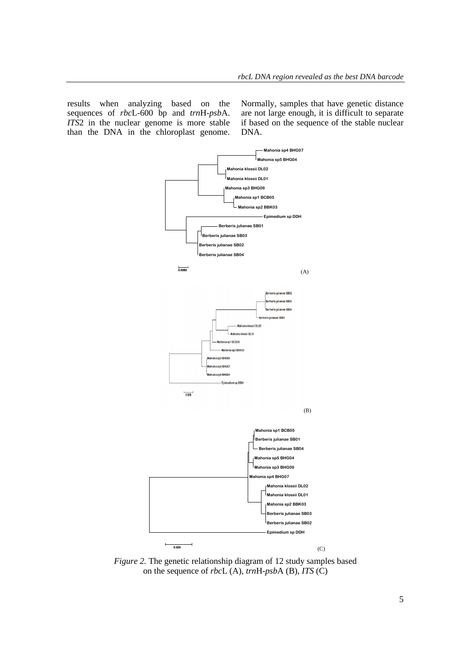results when analyzing based on the sequences of *rbc*L-600 bp and *trn*H-*psb*A. *ITS*2 in the nuclear genome is more stable than the DNA in the chloroplast genome.

Normally, samples that have genetic distance are not large enough, it is difficult to separate if based on the sequence of the stable nuclear DNA.



*Figure 2.* The genetic relationship diagram of 12 study samples based on the sequence of *rbc*L (A), *trn*H-*psb*A (B), *ITS* (C)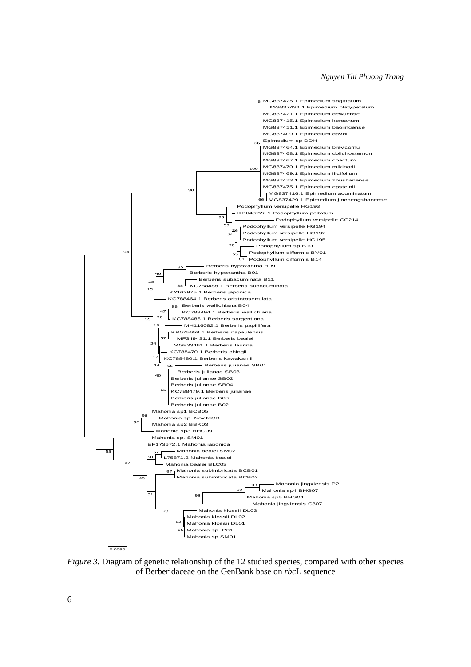

*Figure 3.* Diagram of genetic relationship of the 12 studied species, compared with other species of Berberidaceae on the GenBank base on *rbc*L sequence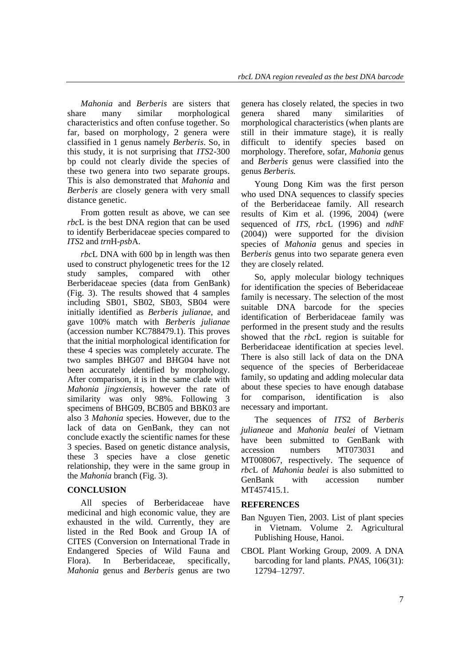*Mahonia* and *Berberis* are sisters that share many similar morphological characteristics and often confuse together. So far, based on morphology, 2 genera were classified in 1 genus namely *Berberis*. So, in this study, it is not surprising that *ITS*2-300 bp could not clearly divide the species of these two genera into two separate groups. This is also demonstrated that *Mahonia* and *Berberis* are closely genera with very small distance genetic.

From gotten result as above, we can see *rbc*L is the best DNA region that can be used to identify Berberidaceae species compared to *ITS*2 and *trn*H-*psb*A.

*rbc*L DNA with 600 bp in length was then used to construct phylogenetic trees for the 12 study samples, compared with other Berberidaceae species (data from GenBank) (Fig. 3). The results showed that 4 samples including SB01, SB02, SB03, SB04 were initially identified as *Berberis julianae,* and gave 100% match with *Berberis julianae* (accession number KC788479.1). This proves that the initial morphological identification for these 4 species was completely accurate. The two samples BHG07 and BHG04 have not been accurately identified by morphology. After comparison, it is in the same clade with *Mahonia jingxiensis*, however the rate of similarity was only 98%. Following 3 specimens of BHG09, BCB05 and BBK03 are also 3 *Mahonia* species. However, due to the lack of data on GenBank, they can not conclude exactly the scientific names for these 3 species. Based on genetic distance analysis, these 3 species have a close genetic relationship, they were in the same group in the *Mahonia* branch (Fig. 3).

## **CONCLUSION**

All species of Berberidaceae have medicinal and high economic value, they are exhausted in the wild. Currently, they are listed in the Red Book and Group IA of CITES (Conversion on International Trade in Endangered Species of Wild Fauna and Flora). In Berberidaceae, specifically, *Mahonia* genus and *Berberis* genus are two

genera has closely related, the species in two<br>genera shared many similarities of genera shared many similarities of morphological characteristics (when plants are still in their immature stage), it is really difficult to identify species based on morphology. Therefore, sofar, *Mahonia* genus and *Berberis* genus were classified into the genus *Berberis.*

Young Dong Kim was the first person who used DNA sequences to classify species of the Berberidaceae family. All research results of Kim et al. (1996, 2004) (were sequenced of *ITS*, *rbc*L (1996) and *ndh*F (2004)) were supported for the division species of *Mahonia* genus and species in B*erberis* genus into two separate genera even they are closely related.

So, apply molecular biology techniques for identification the species of Beberidaceae family is necessary. The selection of the most suitable DNA barcode for the species identification of Berberidaceae family was performed in the present study and the results showed that the *rbc*L region is suitable for Berberidaceae identification at species level. There is also still lack of data on the DNA sequence of the species of Berberidaceae family, so updating and adding molecular data about these species to have enough database for comparison, identification is also necessary and important.

The sequences of *ITS*2 of *Berberis julianeae* and *Mahonia bealei* of Vietnam have been submitted to GenBank with accession numbers MT073031 and MT008067, respectively. The sequence of *rbc*L of *Mahonia bealei* is also submitted to GenBank with accession number MT457415.1.

### **REFERENCES**

- Ban Nguyen Tien, 2003. List of plant species in Vietnam. Volume 2. Agricultural Publishing House*,* Hanoi.
- CBOL Plant Working Group, 2009. A DNA barcoding for land plants. *PNAS*, 106(31): 12794–12797.